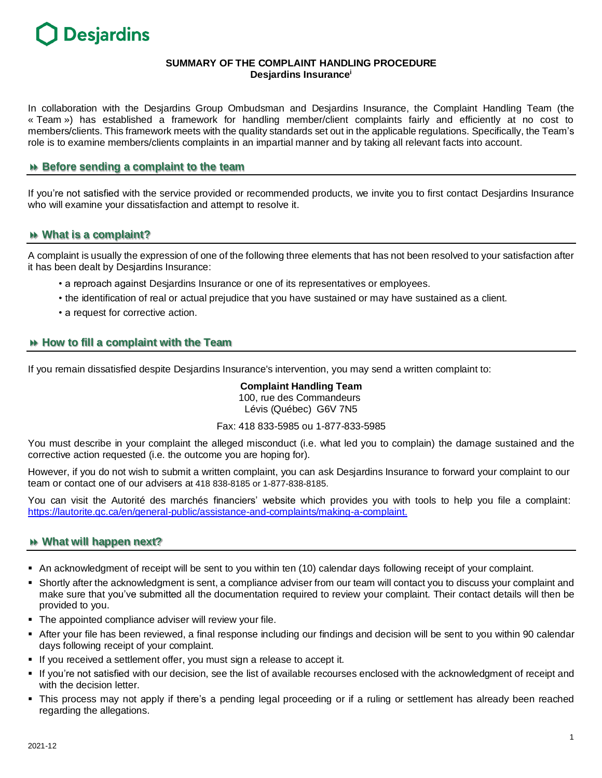

## **SUMMARY OF THE COMPLAINT HANDLING PROCEDURE Desjardins Insurance<sup>i</sup>**

In collaboration with the Desjardins Group Ombudsman and Desjardins Insurance, the Complaint Handling Team (the « Team ») has established a framework for handling member/client complaints fairly and efficiently at no cost to members/clients. This framework meets with the quality standards set out in the applicable regulations. Specifically, the Team's role is to examine members/clients complaints in an impartial manner and by taking all relevant facts into account.

# **Before sending a complaint to the team**

If you're not satisfied with the service provided or recommended products, we invite you to first contact Desjardins Insurance who will examine your dissatisfaction and attempt to resolve it.

### **What is a complaint?**

A complaint is usually the expression of one of the following three elements that has not been resolved to your satisfaction after it has been dealt by Desjardins Insurance:

- a reproach against Desjardins Insurance or one of its representatives or employees.
- the identification of real or actual prejudice that you have sustained or may have sustained as a client.
- a request for corrective action.

# **How to fill a complaint with the Team**

If you remain dissatisfied despite Desjardins Insurance's intervention, you may send a written complaint to:

#### **Complaint Handling Team** 100, rue des Commandeurs Lévis (Québec) G6V 7N5

## Fax: 418 833-5985 ou 1-877-833-5985

You must describe in your complaint the alleged misconduct (i.e. what led you to complain) the damage sustained and the corrective action requested (i.e. the outcome you are hoping for).

However, if you do not wish to submit a written complaint, you can ask Desjardins Insurance to forward your complaint to our team or contact one of our advisers at 418 838-8185 or 1-877-838-8185.

You can visit the Autorité des marchés financiers' website which provides you with tools to help you file a complaint: [https://lautorite.qc.ca/en/general-public/a](https://lautorite.qc.ca/en/general-public/)ssistance-and-complaints/making-a-complaint.

### **What will happen next?**

- An acknowledgment of receipt will be sent to you within ten (10) calendar days following receipt of your complaint.
- Shortly after the acknowledgment is sent, a compliance adviser from our team will contact you to discuss your complaint and make sure that you've submitted all the documentation required to review your complaint. Their contact details will then be provided to you.
- The appointed compliance adviser will review your file.
- After your file has been reviewed, a final response including our findings and decision will be sent to you within 90 calendar days following receipt of your complaint.
- If you received a settlement offer, you must sign a release to accept it.
- If you're not satisfied with our decision, see the list of available recourses enclosed with the acknowledgment of receipt and with the decision letter.
- This process may not apply if there's a pending legal proceeding or if a ruling or settlement has already been reached regarding the allegations.